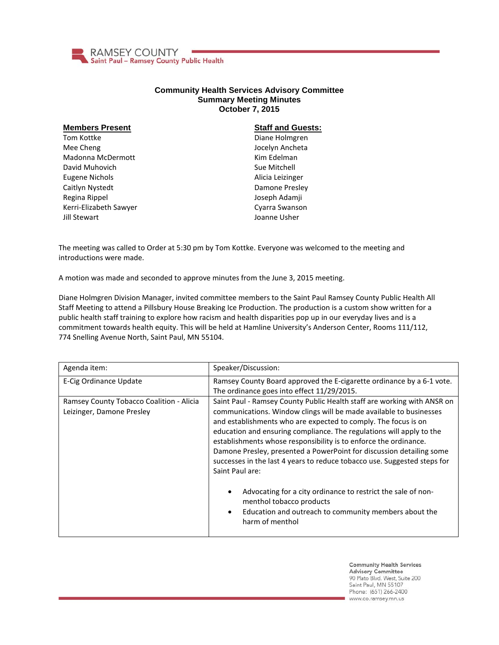

## **Community Health Services Advisory Committee Summary Meeting Minutes October 7, 2015**

| <b>Members Present</b> | <b>Staff and Guests:</b> |
|------------------------|--------------------------|
| Tom Kottke             | Diane Holmgren           |
| Mee Cheng              | Jocelyn Ancheta          |
| Madonna McDermott      | Kim Edelman              |
| David Muhovich         | Sue Mitchell             |
| Eugene Nichols         | Alicia Leizinger         |
| Caitlyn Nystedt        | Damone Presley           |
| Regina Rippel          | Joseph Adamji            |
| Kerri-Elizabeth Sawyer | Cyarra Swanson           |
| Jill Stewart           | Joanne Usher             |

The meeting was called to Order at 5:30 pm by Tom Kottke. Everyone was welcomed to the meeting and introductions were made.

A motion was made and seconded to approve minutes from the June 3, 2015 meeting.

Diane Holmgren Division Manager, invited committee members to the Saint Paul Ramsey County Public Health All Staff Meeting to attend a Pillsbury House Breaking Ice Production. The production is a custom show written for a public health staff training to explore how racism and health disparities pop up in our everyday lives and is a commitment towards health equity. This will be held at Hamline University's Anderson Center, Rooms 111/112, 774 Snelling Avenue North, Saint Paul, MN 55104.

| Agenda item:                                                          | Speaker/Discussion:                                                                                                                                                                                                                                                                                                                                                                                                                                                                                                                                                                                                                                                                                                     |
|-----------------------------------------------------------------------|-------------------------------------------------------------------------------------------------------------------------------------------------------------------------------------------------------------------------------------------------------------------------------------------------------------------------------------------------------------------------------------------------------------------------------------------------------------------------------------------------------------------------------------------------------------------------------------------------------------------------------------------------------------------------------------------------------------------------|
| E-Cig Ordinance Update                                                | Ramsey County Board approved the E-cigarette ordinance by a 6-1 vote.<br>The ordinance goes into effect 11/29/2015.                                                                                                                                                                                                                                                                                                                                                                                                                                                                                                                                                                                                     |
| Ramsey County Tobacco Coalition - Alicia<br>Leizinger, Damone Presley | Saint Paul - Ramsey County Public Health staff are working with ANSR on<br>communications. Window clings will be made available to businesses<br>and establishments who are expected to comply. The focus is on<br>education and ensuring compliance. The regulations will apply to the<br>establishments whose responsibility is to enforce the ordinance.<br>Damone Presley, presented a PowerPoint for discussion detailing some<br>successes in the last 4 years to reduce tobacco use. Suggested steps for<br>Saint Paul are:<br>Advocating for a city ordinance to restrict the sale of non-<br>menthol tobacco products<br>Education and outreach to community members about the<br>$\bullet$<br>harm of menthol |

**Community Health Services Advisory Committee** 90 Plato Blvd. West, Suite 200 Saint Paul, MN 55107 Phone: (651) 266-2400 www.co.ramsey.mn.us